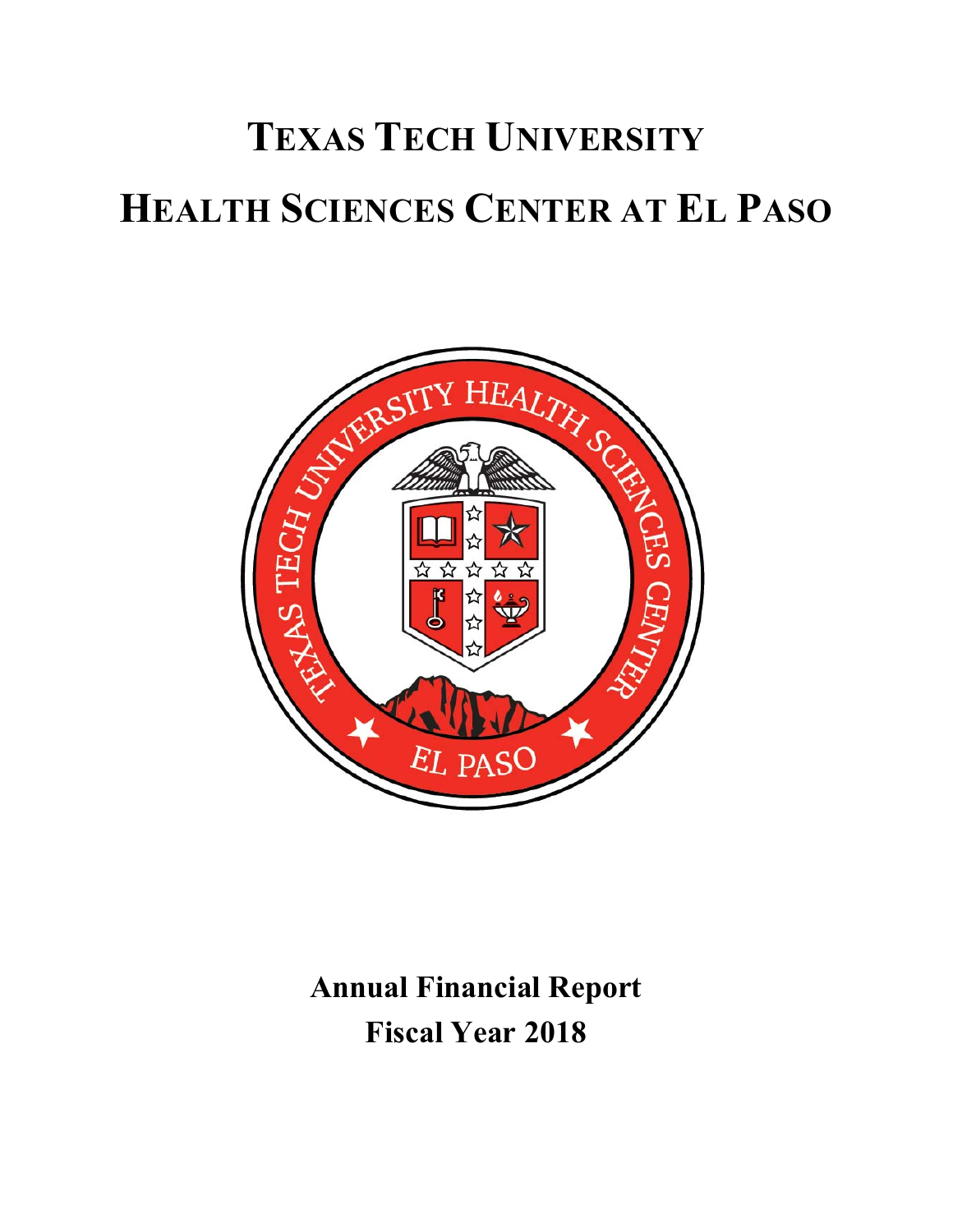

**Annual Financial Report Fiscal Year 2018**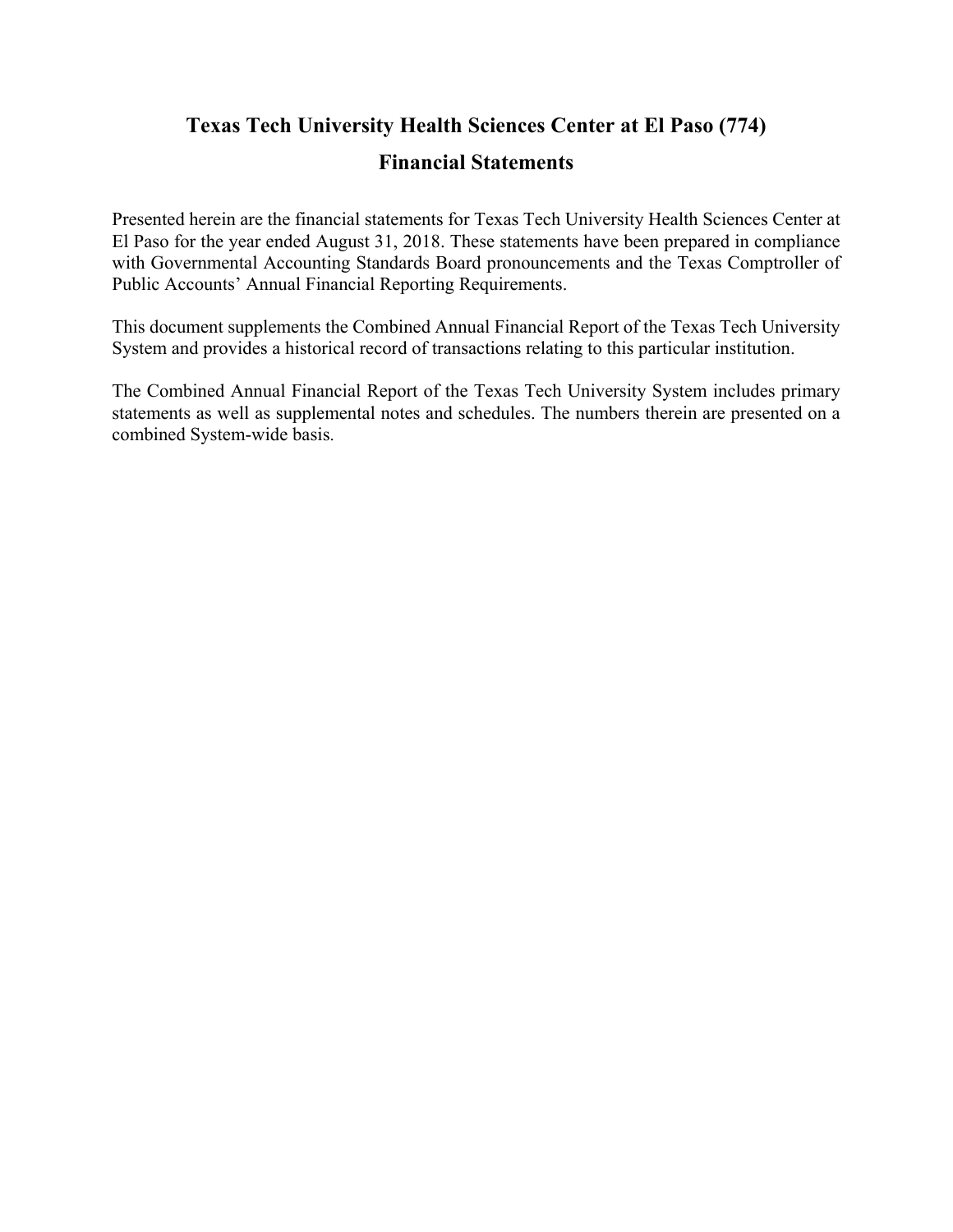## **Texas Tech University Health Sciences Center at El Paso (774)**

#### **Financial Statements**

Presented herein are the financial statements for Texas Tech University Health Sciences Center at El Paso for the year ended August 31, 2018. These statements have been prepared in compliance with Governmental Accounting Standards Board pronouncements and the Texas Comptroller of Public Accounts' Annual Financial Reporting Requirements.

This document supplements the Combined Annual Financial Report of the Texas Tech University System and provides a historical record of transactions relating to this particular institution.

The Combined Annual Financial Report of the Texas Tech University System includes primary statements as well as supplemental notes and schedules. The numbers therein are presented on a combined System‐wide basis.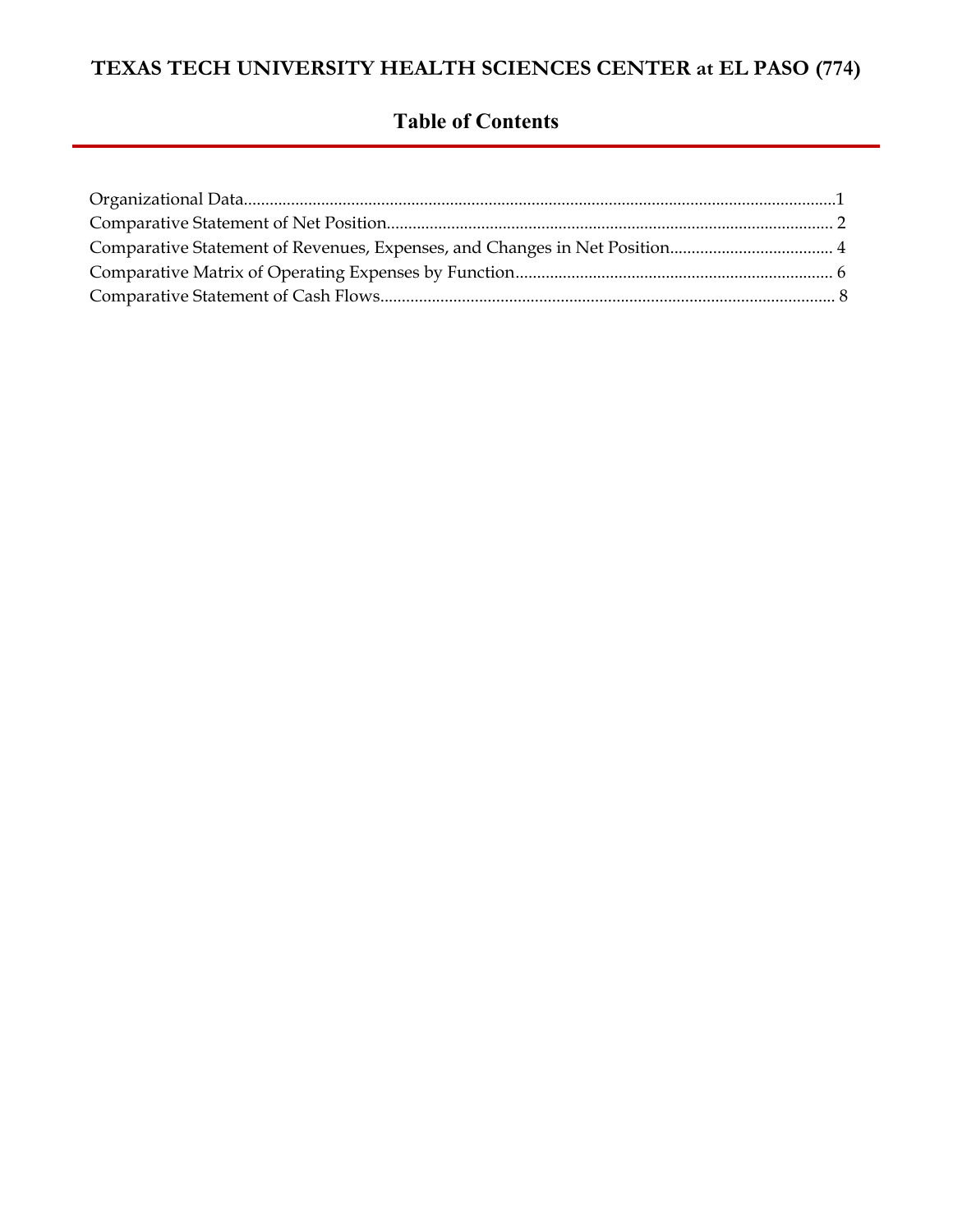## **Table of Contents**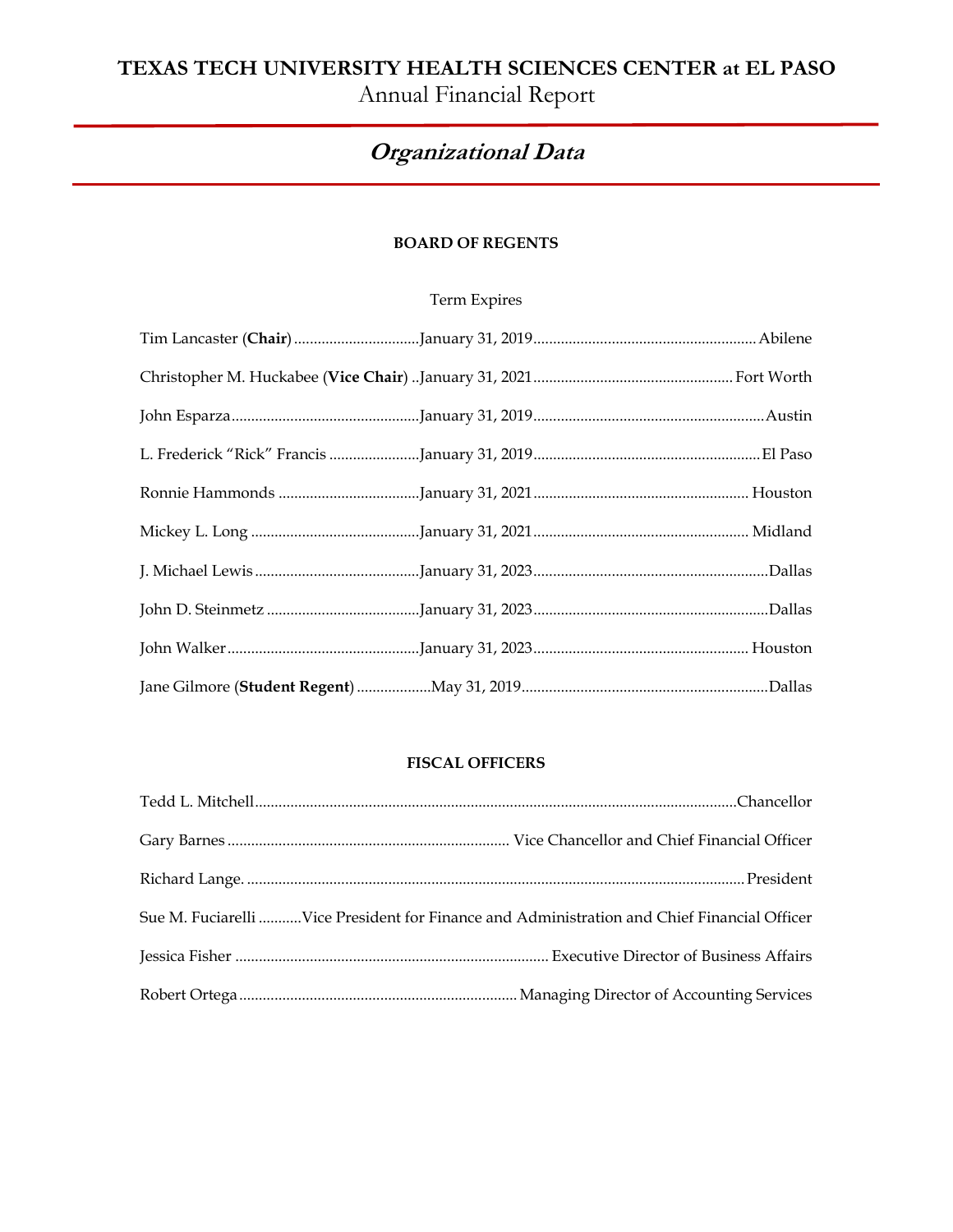## **TEXAS TECH UNIVERSITY HEALTH SCIENCES CENTER at EL PASO**  Annual Financial Report

# **Organizational Data**

#### **BOARD OF REGENTS**

#### Term Expires

#### **FISCAL OFFICERS**

| Sue M. Fuciarelli Vice President for Finance and Administration and Chief Financial Officer |
|---------------------------------------------------------------------------------------------|
|                                                                                             |
|                                                                                             |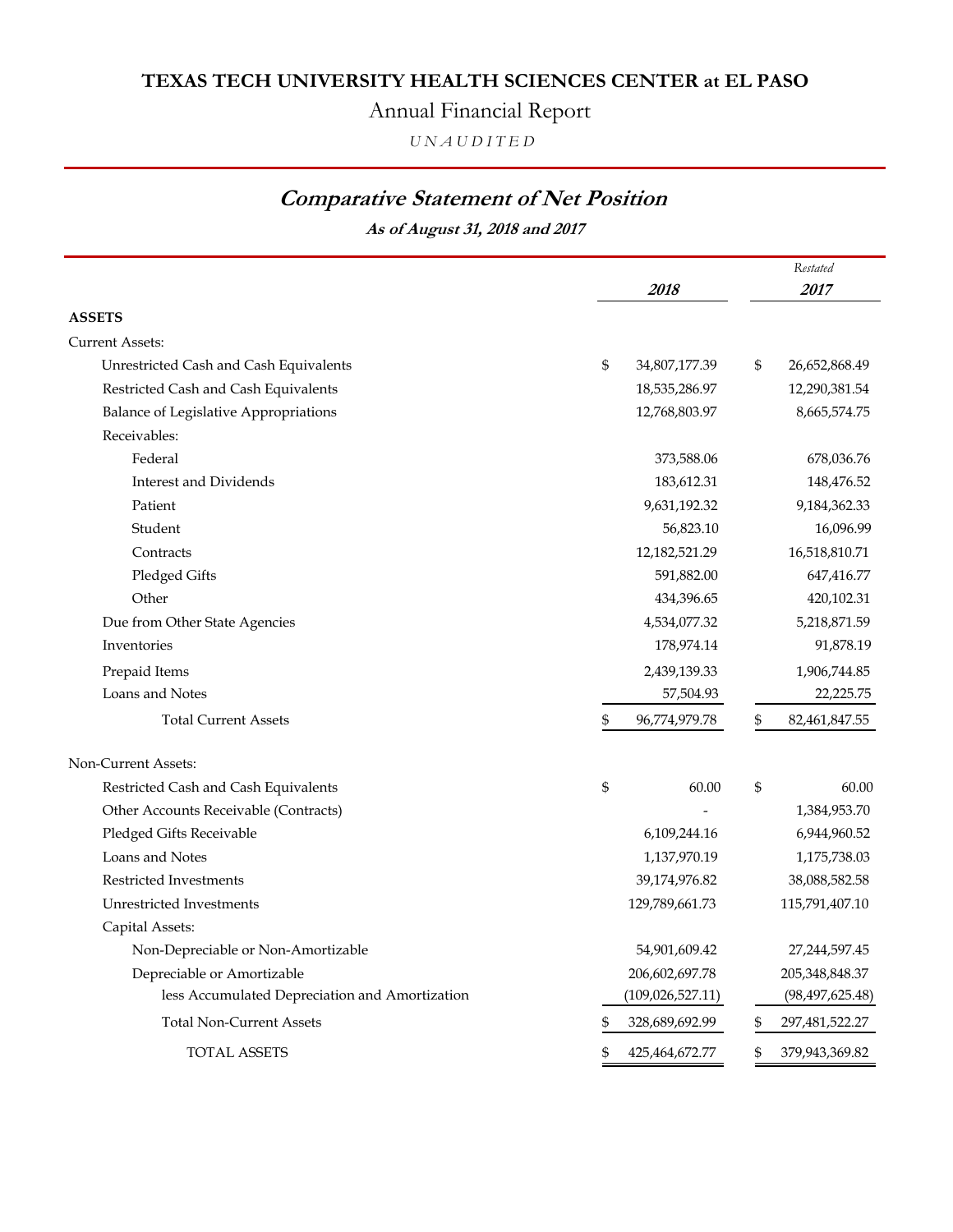# Annual Financial Report

*U N A U D I T E D*

## **Comparative Statement of Net Position**

**As of August 31, 2018 and 2017**

|                                                | 2018                |    | Restated<br>2017  |
|------------------------------------------------|---------------------|----|-------------------|
| <b>ASSETS</b>                                  |                     |    |                   |
| <b>Current Assets:</b>                         |                     |    |                   |
| Unrestricted Cash and Cash Equivalents         | \$<br>34,807,177.39 | \$ | 26,652,868.49     |
| Restricted Cash and Cash Equivalents           | 18,535,286.97       |    | 12,290,381.54     |
| Balance of Legislative Appropriations          | 12,768,803.97       |    | 8,665,574.75      |
| Receivables:                                   |                     |    |                   |
| Federal                                        | 373,588.06          |    | 678,036.76        |
| <b>Interest and Dividends</b>                  | 183,612.31          |    | 148,476.52        |
| Patient                                        | 9,631,192.32        |    | 9,184,362.33      |
| Student                                        | 56,823.10           |    | 16,096.99         |
| Contracts                                      | 12,182,521.29       |    | 16,518,810.71     |
| Pledged Gifts                                  | 591,882.00          |    | 647,416.77        |
| Other                                          | 434,396.65          |    | 420,102.31        |
| Due from Other State Agencies                  | 4,534,077.32        |    | 5,218,871.59      |
| Inventories                                    | 178,974.14          |    | 91,878.19         |
| Prepaid Items                                  | 2,439,139.33        |    | 1,906,744.85      |
| Loans and Notes                                | 57,504.93           |    | 22,225.75         |
| <b>Total Current Assets</b>                    | \$<br>96,774,979.78 | \$ | 82,461,847.55     |
| Non-Current Assets:                            |                     |    |                   |
| Restricted Cash and Cash Equivalents           | \$<br>60.00         | \$ | 60.00             |
| Other Accounts Receivable (Contracts)          |                     |    | 1,384,953.70      |
| Pledged Gifts Receivable                       | 6,109,244.16        |    | 6,944,960.52      |
| Loans and Notes                                | 1,137,970.19        |    | 1,175,738.03      |
| Restricted Investments                         | 39,174,976.82       |    | 38,088,582.58     |
| Unrestricted Investments                       | 129,789,661.73      |    | 115,791,407.10    |
| Capital Assets:                                |                     |    |                   |
| Non-Depreciable or Non-Amortizable             | 54,901,609.42       |    | 27,244,597.45     |
| Depreciable or Amortizable                     | 206,602,697.78      |    | 205,348,848.37    |
| less Accumulated Depreciation and Amortization | (109, 026, 527.11)  |    | (98, 497, 625.48) |
| <b>Total Non-Current Assets</b>                | 328,689,692.99      | \$ | 297,481,522.27    |
| TOTAL ASSETS                                   | 425,464,672.77      |    | 379,943,369.82    |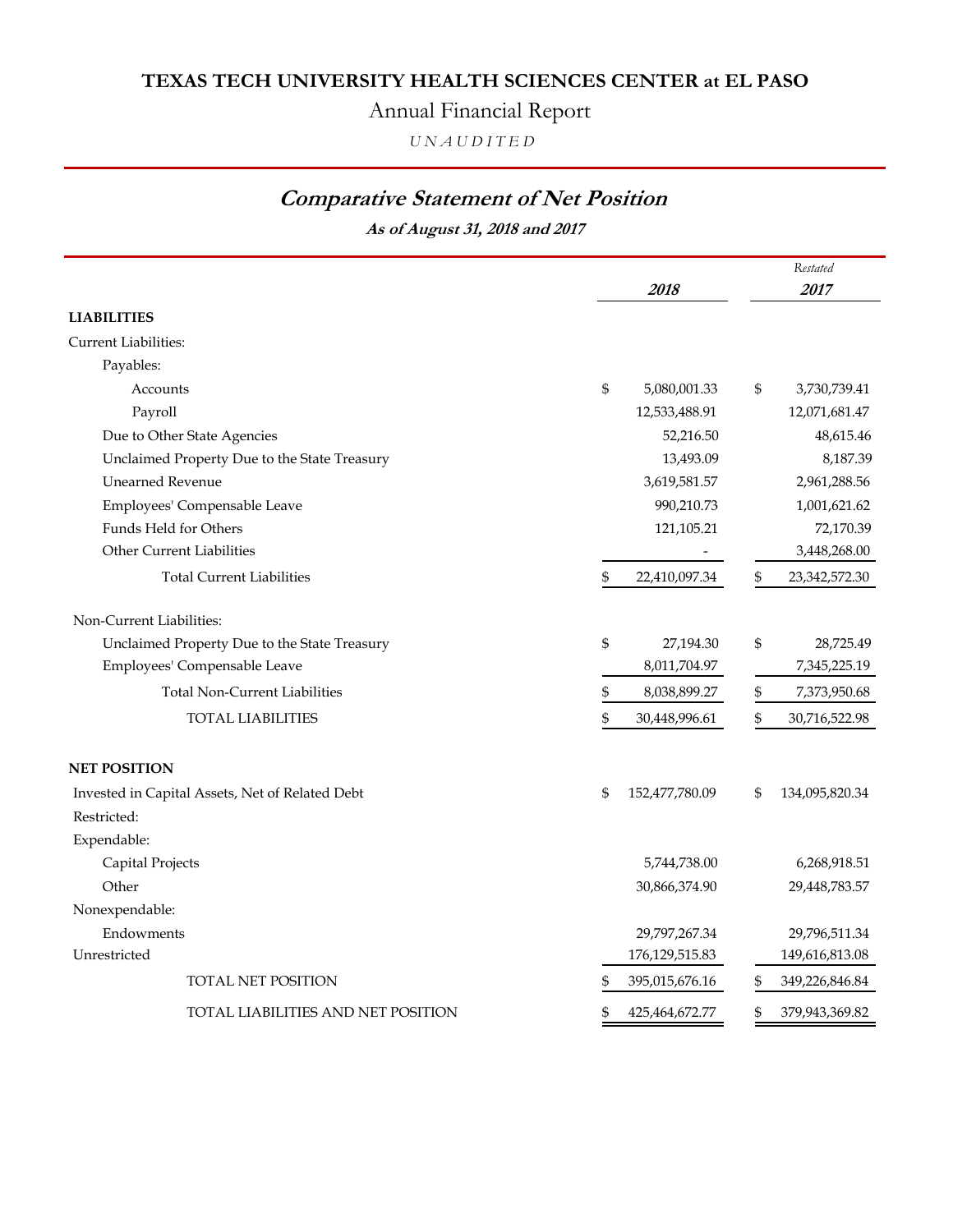## Annual Financial Report

*U N A U D I T E D*

## **Comparative Statement of Net Position**

**As of August 31, 2018 and 2017**

|                                                 |                                | Restated               |
|-------------------------------------------------|--------------------------------|------------------------|
|                                                 | 2018                           | 2017                   |
| <b>LIABILITIES</b>                              |                                |                        |
| <b>Current Liabilities:</b>                     |                                |                        |
| Payables:                                       |                                |                        |
| Accounts                                        | $\mathfrak{S}$<br>5,080,001.33 | \$<br>3,730,739.41     |
| Payroll                                         | 12,533,488.91                  | 12,071,681.47          |
| Due to Other State Agencies                     | 52,216.50                      | 48,615.46              |
| Unclaimed Property Due to the State Treasury    | 13,493.09                      | 8,187.39               |
| <b>Unearned Revenue</b>                         | 3,619,581.57                   | 2,961,288.56           |
| Employees' Compensable Leave                    | 990,210.73                     | 1,001,621.62           |
| Funds Held for Others                           | 121,105.21                     | 72,170.39              |
| <b>Other Current Liabilities</b>                |                                | 3,448,268.00           |
| <b>Total Current Liabilities</b>                | \$<br>22,410,097.34            | \$<br>23, 342, 572. 30 |
| Non-Current Liabilities:                        |                                |                        |
| Unclaimed Property Due to the State Treasury    | \$<br>27,194.30                | \$<br>28,725.49        |
| Employees' Compensable Leave                    | 8,011,704.97                   | 7,345,225.19           |
| <b>Total Non-Current Liabilities</b>            | \$<br>8,038,899.27             | \$<br>7,373,950.68     |
| <b>TOTAL LIABILITIES</b>                        | \$<br>30,448,996.61            | \$<br>30,716,522.98    |
| <b>NET POSITION</b>                             |                                |                        |
| Invested in Capital Assets, Net of Related Debt | \$<br>152,477,780.09           | \$<br>134,095,820.34   |
| Restricted:                                     |                                |                        |
| Expendable:                                     |                                |                        |
| Capital Projects                                | 5,744,738.00                   | 6,268,918.51           |
| Other                                           | 30,866,374.90                  | 29,448,783.57          |
| Nonexpendable:                                  |                                |                        |
| Endowments                                      | 29,797,267.34                  | 29,796,511.34          |
| Unrestricted                                    | 176, 129, 515.83               | 149,616,813.08         |
| TOTAL NET POSITION                              | 395,015,676.16<br>\$           | 349,226,846.84<br>\$   |
| TOTAL LIABILITIES AND NET POSITION              | \$<br>425,464,672.77           | \$<br>379,943,369.82   |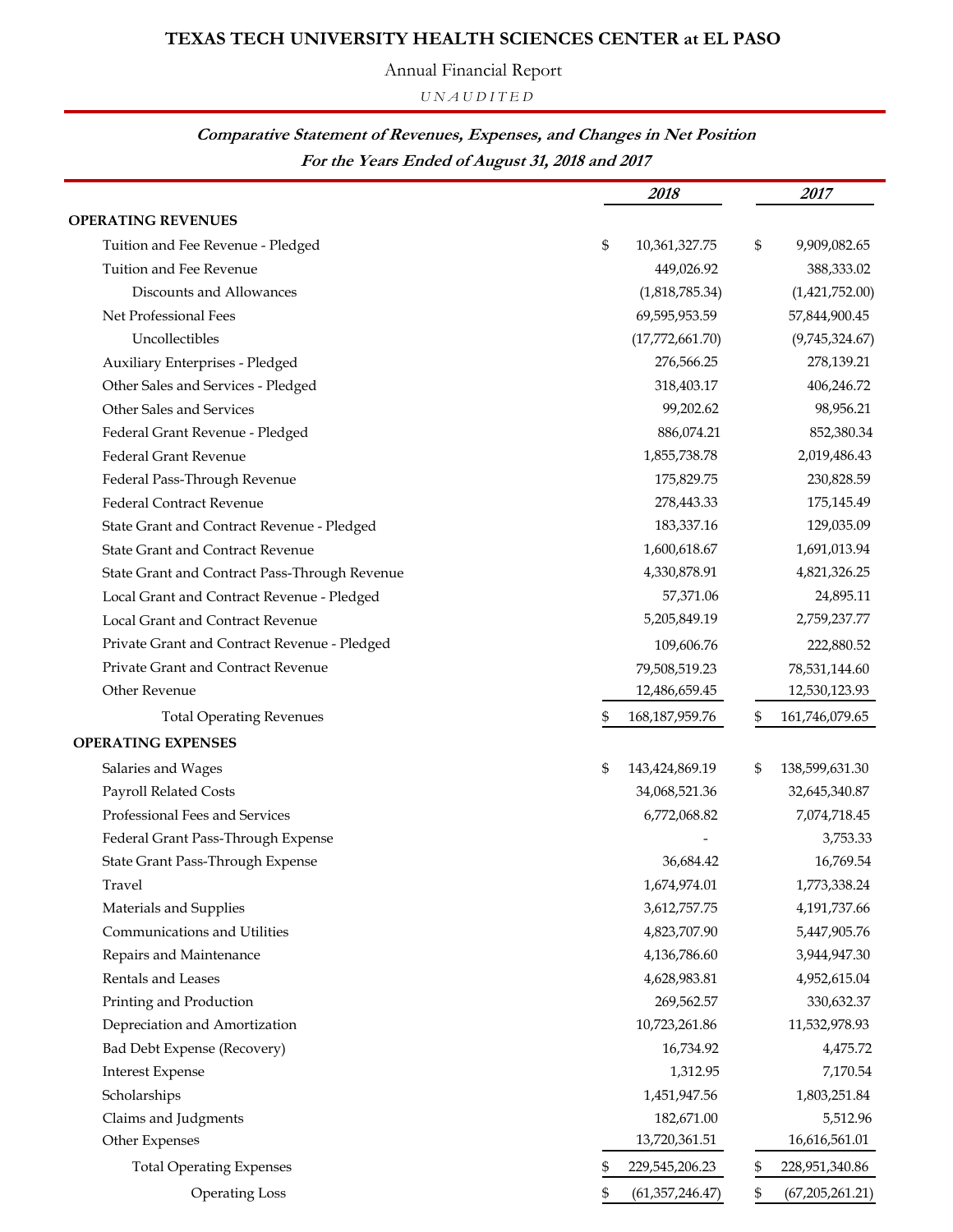Annual Financial Report

*U N A U D I T E D*

#### **For the Years Ended of August 31, 2018 and 2017 Comparative Statement of Revenues, Expenses, and Changes in Net Position**

|                                               | 2018                    | 2017                    |
|-----------------------------------------------|-------------------------|-------------------------|
| <b>OPERATING REVENUES</b>                     |                         |                         |
| Tuition and Fee Revenue - Pledged             | \$<br>10,361,327.75     | \$<br>9,909,082.65      |
| Tuition and Fee Revenue                       | 449,026.92              | 388,333.02              |
| Discounts and Allowances                      | (1,818,785.34)          | (1,421,752.00)          |
| Net Professional Fees                         | 69,595,953.59           | 57,844,900.45           |
| Uncollectibles                                | (17,772,661.70)         | (9,745,324.67)          |
| Auxiliary Enterprises - Pledged               | 276,566.25              | 278,139.21              |
| Other Sales and Services - Pledged            | 318,403.17              | 406,246.72              |
| Other Sales and Services                      | 99,202.62               | 98,956.21               |
| Federal Grant Revenue - Pledged               | 886,074.21              | 852,380.34              |
| <b>Federal Grant Revenue</b>                  | 1,855,738.78            | 2,019,486.43            |
| Federal Pass-Through Revenue                  | 175,829.75              | 230,828.59              |
| <b>Federal Contract Revenue</b>               | 278,443.33              | 175,145.49              |
| State Grant and Contract Revenue - Pledged    | 183,337.16              | 129,035.09              |
| <b>State Grant and Contract Revenue</b>       | 1,600,618.67            | 1,691,013.94            |
| State Grant and Contract Pass-Through Revenue | 4,330,878.91            | 4,821,326.25            |
| Local Grant and Contract Revenue - Pledged    | 57,371.06               | 24,895.11               |
| Local Grant and Contract Revenue              | 5,205,849.19            | 2,759,237.77            |
| Private Grant and Contract Revenue - Pledged  | 109,606.76              | 222,880.52              |
| Private Grant and Contract Revenue            | 79,508,519.23           | 78,531,144.60           |
| Other Revenue                                 | 12,486,659.45           | 12,530,123.93           |
| <b>Total Operating Revenues</b>               | \$<br>168, 187, 959. 76 | \$<br>161,746,079.65    |
| <b>OPERATING EXPENSES</b>                     |                         |                         |
| Salaries and Wages                            | \$<br>143,424,869.19    | \$<br>138,599,631.30    |
| Payroll Related Costs                         | 34,068,521.36           | 32,645,340.87           |
| Professional Fees and Services                | 6,772,068.82            | 7,074,718.45            |
| Federal Grant Pass-Through Expense            |                         | 3,753.33                |
| State Grant Pass-Through Expense              | 36,684.42               | 16,769.54               |
| Travel                                        | 1,674,974.01            | 1,773,338.24            |
| Materials and Supplies                        | 3,612,757.75            | 4,191,737.66            |
| Communications and Utilities                  | 4,823,707.90            | 5,447,905.76            |
| Repairs and Maintenance                       | 4,136,786.60            | 3,944,947.30            |
| Rentals and Leases                            | 4,628,983.81            | 4,952,615.04            |
| Printing and Production                       | 269,562.57              | 330,632.37              |
| Depreciation and Amortization                 | 10,723,261.86           | 11,532,978.93           |
| Bad Debt Expense (Recovery)                   | 16,734.92               | 4,475.72                |
| <b>Interest Expense</b>                       | 1,312.95                | 7,170.54                |
| Scholarships                                  | 1,451,947.56            | 1,803,251.84            |
| Claims and Judgments                          | 182,671.00              | 5,512.96                |
| Other Expenses                                | 13,720,361.51           | 16,616,561.01           |
| <b>Total Operating Expenses</b>               | 229,545,206.23          | \$<br>228,951,340.86    |
| <b>Operating Loss</b>                         | \$<br>(61, 357, 246.47) | \$<br>(67, 205, 261.21) |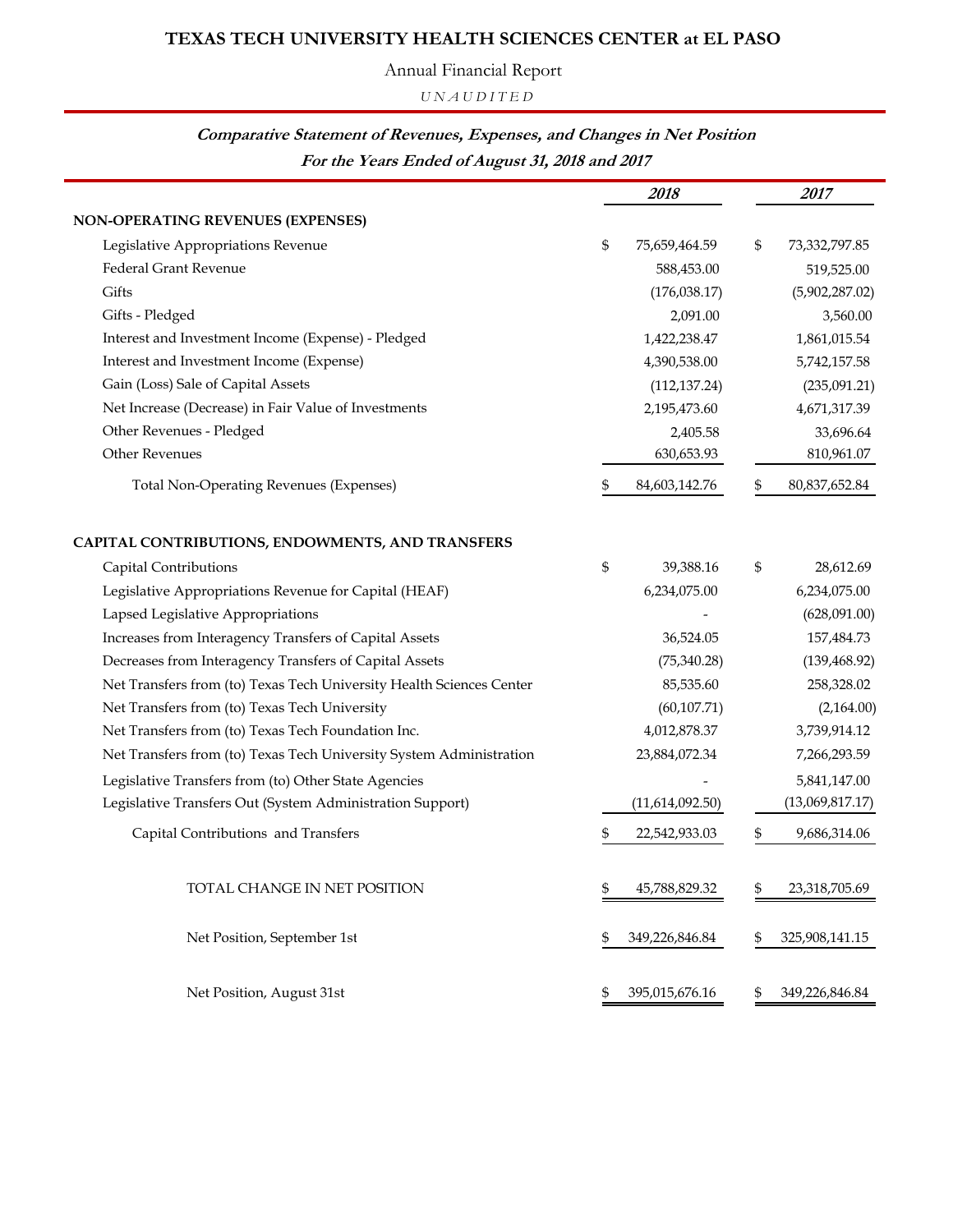Annual Financial Report

*U N A U D I T E D*

#### **For the Years Ended of August 31, 2018 and 2017 Comparative Statement of Revenues, Expenses, and Changes in Net Position**

|                                                                      | 2018                 | 2017                 |
|----------------------------------------------------------------------|----------------------|----------------------|
| <b>NON-OPERATING REVENUES (EXPENSES)</b>                             |                      |                      |
| Legislative Appropriations Revenue                                   | \$<br>75,659,464.59  | \$<br>73,332,797.85  |
| <b>Federal Grant Revenue</b>                                         | 588,453.00           | 519,525.00           |
| Gifts                                                                | (176,038.17)         | (5,902,287.02)       |
| Gifts - Pledged                                                      | 2,091.00             | 3,560.00             |
| Interest and Investment Income (Expense) - Pledged                   | 1,422,238.47         | 1,861,015.54         |
| Interest and Investment Income (Expense)                             | 4,390,538.00         | 5,742,157.58         |
| Gain (Loss) Sale of Capital Assets                                   | (112, 137.24)        | (235,091.21)         |
| Net Increase (Decrease) in Fair Value of Investments                 | 2,195,473.60         | 4,671,317.39         |
| Other Revenues - Pledged                                             | 2,405.58             | 33,696.64            |
| <b>Other Revenues</b>                                                | 630,653.93           | 810,961.07           |
| <b>Total Non-Operating Revenues (Expenses)</b>                       | \$<br>84,603,142.76  | \$<br>80,837,652.84  |
| CAPITAL CONTRIBUTIONS, ENDOWMENTS, AND TRANSFERS                     |                      |                      |
| Capital Contributions                                                | \$<br>39,388.16      | \$<br>28,612.69      |
| Legislative Appropriations Revenue for Capital (HEAF)                | 6,234,075.00         | 6,234,075.00         |
| Lapsed Legislative Appropriations                                    |                      | (628,091.00)         |
| Increases from Interagency Transfers of Capital Assets               | 36,524.05            | 157,484.73           |
| Decreases from Interagency Transfers of Capital Assets               | (75,340.28)          | (139, 468.92)        |
| Net Transfers from (to) Texas Tech University Health Sciences Center | 85,535.60            | 258,328.02           |
| Net Transfers from (to) Texas Tech University                        | (60, 107.71)         | (2,164.00)           |
| Net Transfers from (to) Texas Tech Foundation Inc.                   | 4,012,878.37         | 3,739,914.12         |
| Net Transfers from (to) Texas Tech University System Administration  | 23,884,072.34        | 7,266,293.59         |
| Legislative Transfers from (to) Other State Agencies                 |                      | 5,841,147.00         |
| Legislative Transfers Out (System Administration Support)            | (11,614,092.50)      | (13,069,817.17)      |
| Capital Contributions and Transfers                                  | \$<br>22,542,933.03  | \$<br>9,686,314.06   |
| TOTAL CHANGE IN NET POSITION                                         | \$<br>45,788,829.32  | \$<br>23,318,705.69  |
| Net Position, September 1st                                          | \$<br>349,226,846.84 | \$<br>325,908,141.15 |
| Net Position, August 31st                                            | \$<br>395,015,676.16 | \$<br>349,226,846.84 |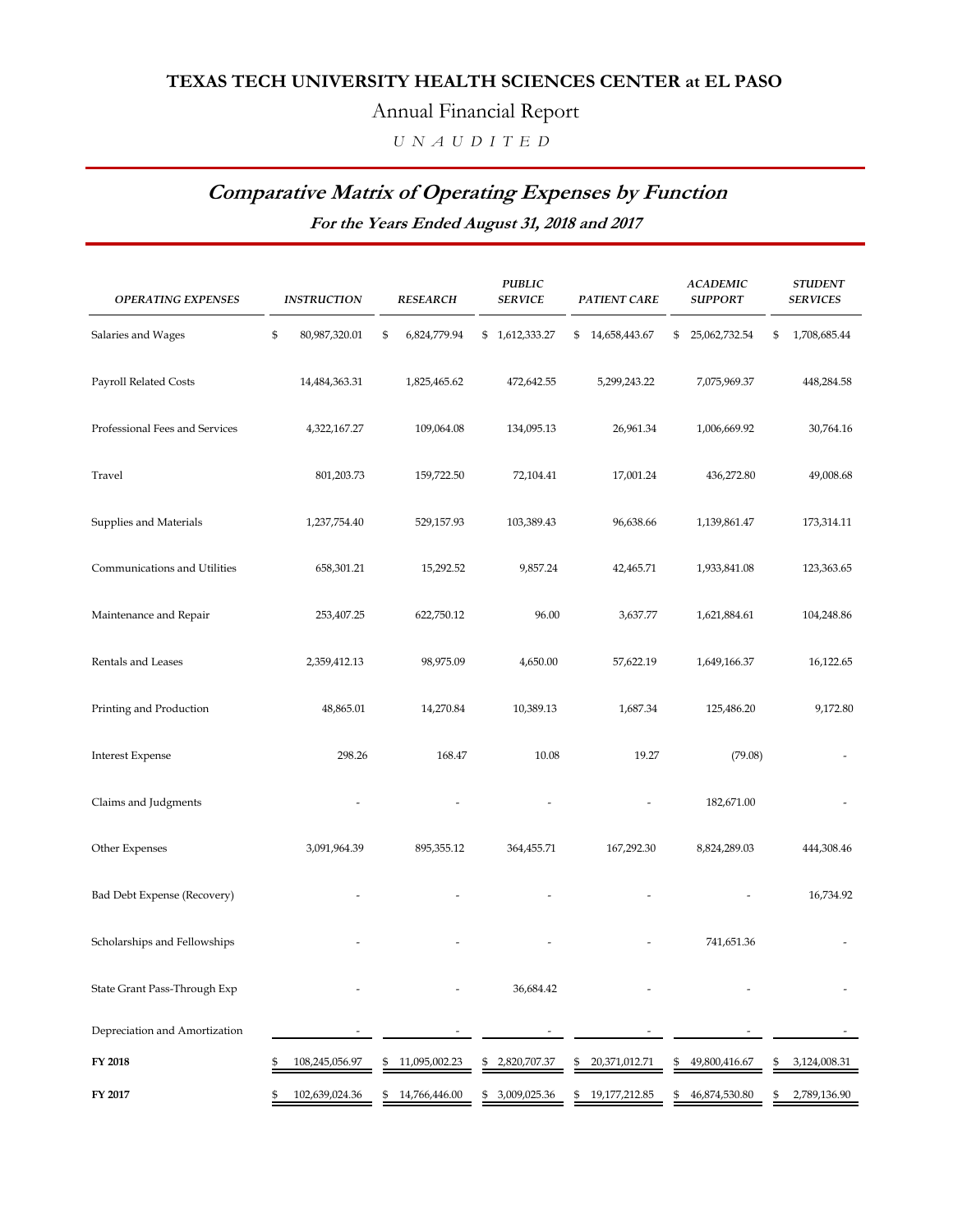#### Annual Financial Report

 *U N A U D I T E D*

## **Comparative Matrix of Operating Expenses by Function**

**For the Years Ended August 31, 2018 and 2017**

| <b>OPERATING EXPENSES</b>      | <b>INSTRUCTION</b>  | <b>RESEARCH</b>    | <b>PUBLIC</b><br><b>SERVICE</b> | <b>PATIENT CARE</b> | <b>ACADEMIC</b><br><b>SUPPORT</b> | <b>STUDENT</b><br><b>SERVICES</b> |
|--------------------------------|---------------------|--------------------|---------------------------------|---------------------|-----------------------------------|-----------------------------------|
| Salaries and Wages             | \$<br>80,987,320.01 | \$<br>6,824,779.94 | \$1,612,333.27                  | \$<br>14,658,443.67 | 25,062,732.54<br>\$               | \$<br>1,708,685.44                |
| Payroll Related Costs          | 14,484,363.31       | 1,825,465.62       | 472,642.55                      | 5,299,243.22        | 7,075,969.37                      | 448,284.58                        |
| Professional Fees and Services | 4,322,167.27        | 109,064.08         | 134,095.13                      | 26,961.34           | 1,006,669.92                      | 30,764.16                         |
| Travel                         | 801,203.73          | 159,722.50         | 72,104.41                       | 17,001.24           | 436,272.80                        | 49,008.68                         |
| Supplies and Materials         | 1,237,754.40        | 529,157.93         | 103,389.43                      | 96,638.66           | 1,139,861.47                      | 173,314.11                        |
| Communications and Utilities   | 658,301.21          | 15,292.52          | 9,857.24                        | 42,465.71           | 1,933,841.08                      | 123,363.65                        |
| Maintenance and Repair         | 253,407.25          | 622,750.12         | 96.00                           | 3,637.77            | 1,621,884.61                      | 104,248.86                        |
| Rentals and Leases             | 2,359,412.13        | 98,975.09          | 4,650.00                        | 57,622.19           | 1,649,166.37                      | 16,122.65                         |
| Printing and Production        | 48,865.01           | 14,270.84          | 10,389.13                       | 1,687.34            | 125,486.20                        | 9,172.80                          |
| <b>Interest Expense</b>        | 298.26              | 168.47             | 10.08                           | 19.27               | (79.08)                           |                                   |
| Claims and Judgments           |                     |                    |                                 |                     | 182,671.00                        |                                   |
| Other Expenses                 | 3,091,964.39        | 895,355.12         | 364,455.71                      | 167,292.30          | 8,824,289.03                      | 444,308.46                        |
| Bad Debt Expense (Recovery)    |                     |                    |                                 |                     |                                   | 16,734.92                         |
| Scholarships and Fellowships   |                     |                    |                                 |                     | 741,651.36                        |                                   |
| State Grant Pass-Through Exp   |                     |                    | 36,684.42                       |                     |                                   |                                   |
| Depreciation and Amortization  |                     |                    |                                 |                     |                                   |                                   |
| FY 2018                        | 108,245,056.97      | 11,095,002.23      | 2,820,707.37                    | 20,371,012.71<br>\$ | 49,800,416.67                     | 3,124,008.31<br>\$                |
| FY 2017                        | 102,639,024.36<br>5 | 14,766,446.00      | 3,009,025.36<br>\$              | 19,177,212.85<br>\$ | 46,874,530.80<br>\$               | 2,789,136.90<br>\$                |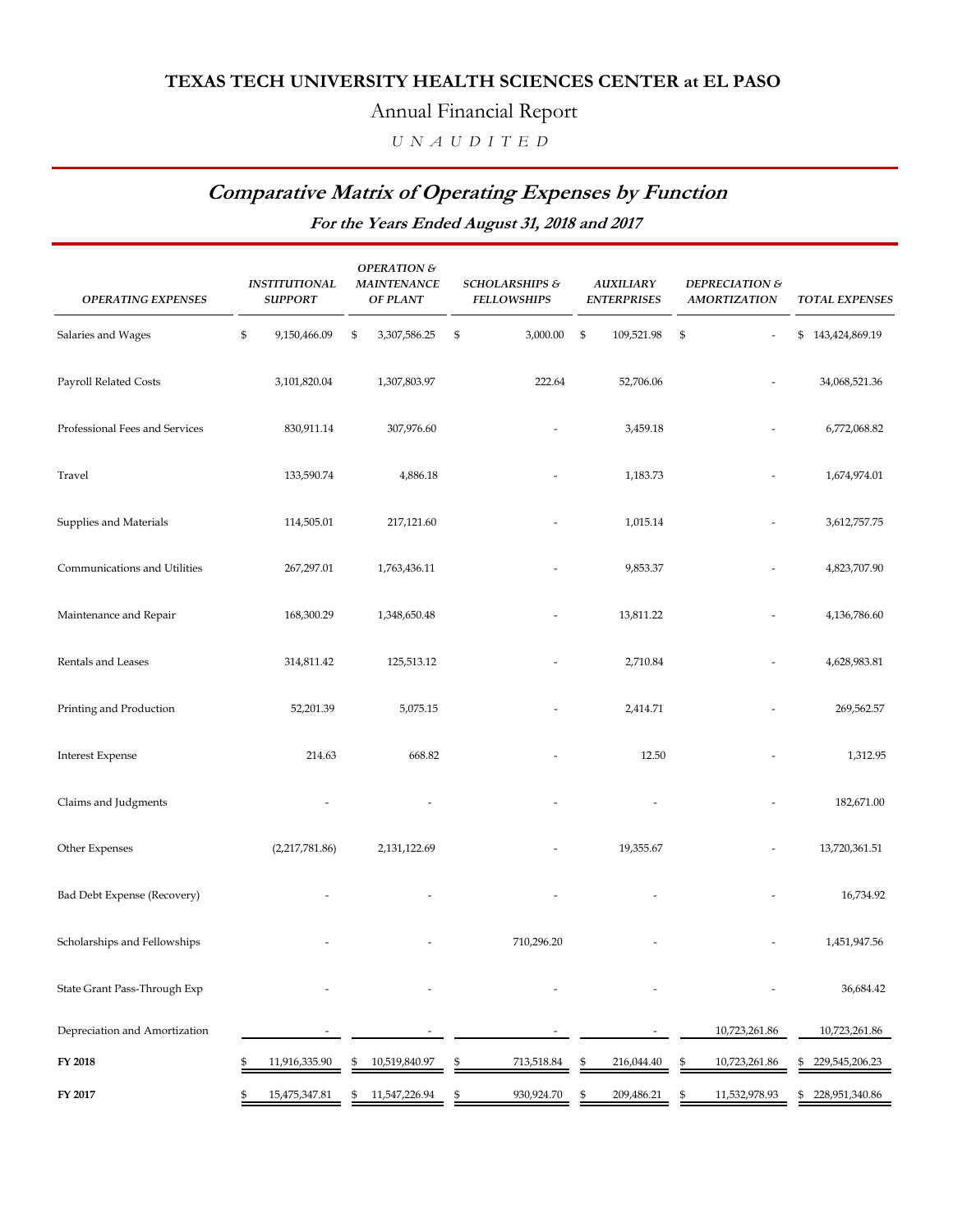#### Annual Financial Report

 *U N A U D I T E D*

## **Comparative Matrix of Operating Expenses by Function**

**For the Years Ended August 31, 2018 and 2017**

| <b>OPERATING EXPENSES</b>      | <b>INSTITUTIONAL</b><br><b>SUPPORT</b> | <b>OPERATION &amp;</b><br><b>MAINTENANCE</b><br><b>OF PLANT</b> |    | <b>SCHOLARSHIPS &amp;</b><br><b>FELLOWSHIPS</b> | <b>AUXILIARY</b><br><b>ENTERPRISES</b> |                           | DEPRECIATION &<br><b>AMORTIZATION</b> | <b>TOTAL EXPENSES</b> |
|--------------------------------|----------------------------------------|-----------------------------------------------------------------|----|-------------------------------------------------|----------------------------------------|---------------------------|---------------------------------------|-----------------------|
| Salaries and Wages             | \$<br>9,150,466.09                     | \$<br>3,307,586.25                                              | \$ | 3,000.00                                        | \$<br>109,521.98                       | $\boldsymbol{\mathsf{S}}$ |                                       | \$143,424,869.19      |
| Payroll Related Costs          | 3,101,820.04                           | 1,307,803.97                                                    |    | 222.64                                          | 52,706.06                              |                           |                                       | 34,068,521.36         |
| Professional Fees and Services | 830,911.14                             | 307,976.60                                                      |    |                                                 | 3,459.18                               |                           |                                       | 6,772,068.82          |
| Travel                         | 133,590.74                             | 4,886.18                                                        |    |                                                 | 1,183.73                               |                           |                                       | 1,674,974.01          |
| Supplies and Materials         | 114,505.01                             | 217,121.60                                                      |    |                                                 | 1,015.14                               |                           |                                       | 3,612,757.75          |
| Communications and Utilities   | 267,297.01                             | 1,763,436.11                                                    |    |                                                 | 9,853.37                               |                           |                                       | 4,823,707.90          |
| Maintenance and Repair         | 168,300.29                             | 1,348,650.48                                                    |    |                                                 | 13,811.22                              |                           |                                       | 4,136,786.60          |
| Rentals and Leases             | 314,811.42                             | 125,513.12                                                      |    |                                                 | 2,710.84                               |                           |                                       | 4,628,983.81          |
| Printing and Production        | 52,201.39                              | 5,075.15                                                        |    |                                                 | 2,414.71                               |                           |                                       | 269,562.57            |
| <b>Interest Expense</b>        | 214.63                                 | 668.82                                                          |    |                                                 | 12.50                                  |                           |                                       | 1,312.95              |
| Claims and Judgments           |                                        |                                                                 |    |                                                 |                                        |                           |                                       | 182,671.00            |
| Other Expenses                 | (2,217,781.86)                         | 2,131,122.69                                                    |    |                                                 | 19,355.67                              |                           |                                       | 13,720,361.51         |
| Bad Debt Expense (Recovery)    |                                        |                                                                 |    |                                                 |                                        |                           |                                       | 16,734.92             |
| Scholarships and Fellowships   |                                        |                                                                 |    | 710,296.20                                      |                                        |                           |                                       | 1,451,947.56          |
| State Grant Pass-Through Exp   |                                        |                                                                 |    |                                                 |                                        |                           |                                       | 36,684.42             |
| Depreciation and Amortization  |                                        |                                                                 |    |                                                 |                                        |                           | 10,723,261.86                         | 10,723,261.86         |
| FY 2018                        | \$<br>11,916,335.90                    | \$<br>10,519,840.97                                             | S  | 713,518.84                                      | \$<br>216,044.40                       | \$                        | 10,723,261.86                         | \$<br>229,545,206.23  |
| FY 2017                        | \$<br>15,475,347.81                    | \$<br>11,547,226.94                                             | \$ | 930,924.70                                      | \$<br>209,486.21                       | \$                        | 11,532,978.93                         | \$<br>228,951,340.86  |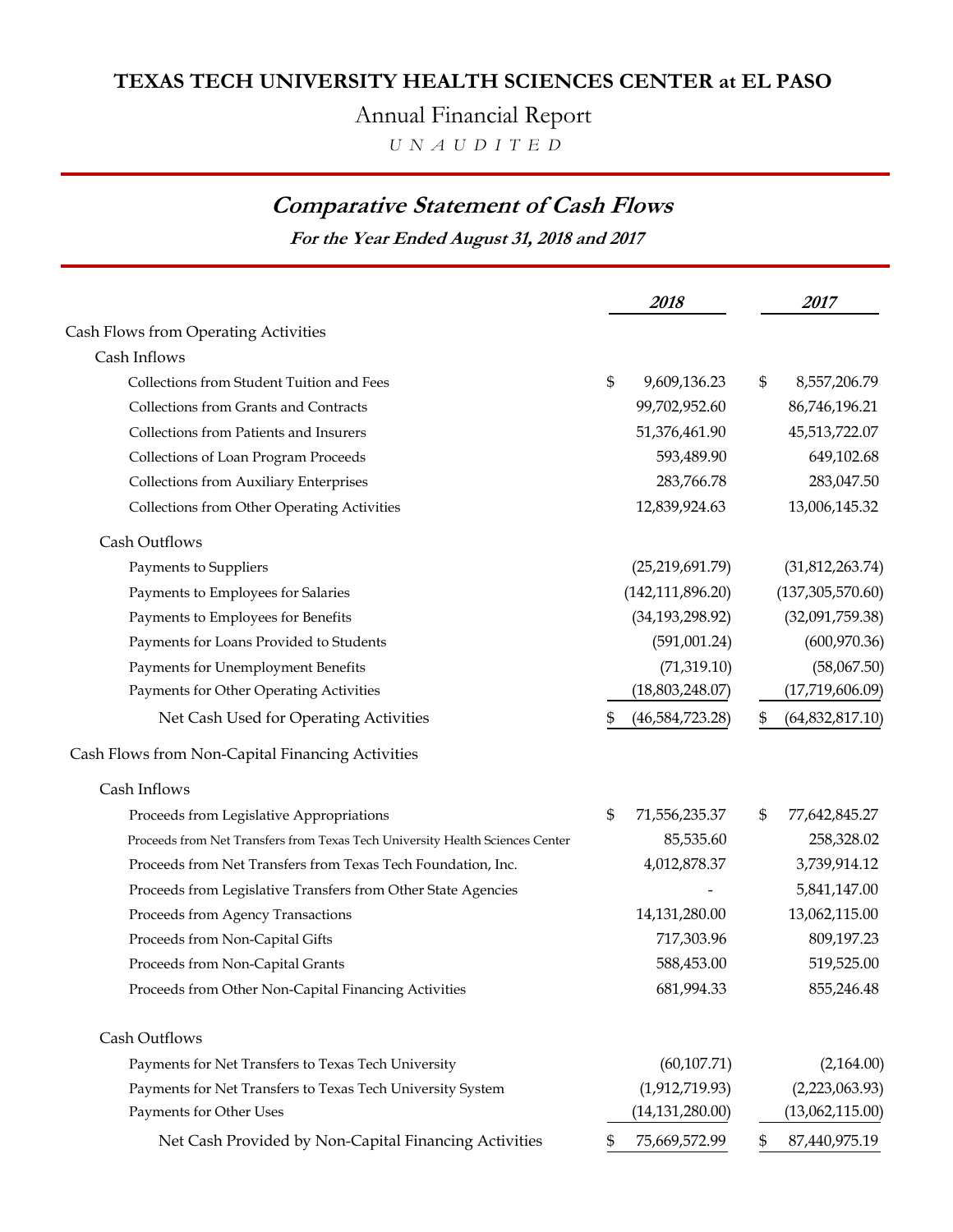Annual Financial Report

 *U N A U D I T E D*

## **Comparative Statement of Cash Flows**

**For the Year Ended August 31, 2018 and 2017**

|                                                                               | 2018                | <i>2017</i>             |
|-------------------------------------------------------------------------------|---------------------|-------------------------|
| Cash Flows from Operating Activities                                          |                     |                         |
| Cash Inflows                                                                  |                     |                         |
| Collections from Student Tuition and Fees                                     | \$<br>9,609,136.23  | \$<br>8,557,206.79      |
| Collections from Grants and Contracts                                         | 99,702,952.60       | 86,746,196.21           |
| Collections from Patients and Insurers                                        | 51,376,461.90       | 45,513,722.07           |
| Collections of Loan Program Proceeds                                          | 593,489.90          | 649,102.68              |
| <b>Collections from Auxiliary Enterprises</b>                                 | 283,766.78          | 283,047.50              |
| <b>Collections from Other Operating Activities</b>                            | 12,839,924.63       | 13,006,145.32           |
| Cash Outflows                                                                 |                     |                         |
| Payments to Suppliers                                                         | (25, 219, 691.79)   | (31,812,263.74)         |
| Payments to Employees for Salaries                                            | (142, 111, 896.20)  | (137, 305, 570.60)      |
| Payments to Employees for Benefits                                            | (34, 193, 298.92)   | (32,091,759.38)         |
| Payments for Loans Provided to Students                                       | (591,001.24)        | (600, 970.36)           |
| Payments for Unemployment Benefits                                            | (71, 319.10)        | (58,067.50)             |
| Payments for Other Operating Activities                                       | (18,803,248.07)     | (17,719,606.09)         |
| Net Cash Used for Operating Activities                                        | (46,584,723.28)     | \$<br>(64, 832, 817.10) |
| Cash Flows from Non-Capital Financing Activities                              |                     |                         |
| Cash Inflows                                                                  |                     |                         |
| Proceeds from Legislative Appropriations                                      | \$<br>71,556,235.37 | \$<br>77,642,845.27     |
| Proceeds from Net Transfers from Texas Tech University Health Sciences Center | 85,535.60           | 258,328.02              |
| Proceeds from Net Transfers from Texas Tech Foundation, Inc.                  | 4,012,878.37        | 3,739,914.12            |
| Proceeds from Legislative Transfers from Other State Agencies                 |                     | 5,841,147.00            |
| Proceeds from Agency Transactions                                             | 14,131,280.00       | 13,062,115.00           |
| Proceeds from Non-Capital Gifts                                               | 717,303.96          | 809,197.23              |
| Proceeds from Non-Capital Grants                                              | 588,453.00          | 519,525.00              |
| Proceeds from Other Non-Capital Financing Activities                          | 681,994.33          | 855,246.48              |
| Cash Outflows                                                                 |                     |                         |
| Payments for Net Transfers to Texas Tech University                           | (60, 107.71)        | (2,164.00)              |
| Payments for Net Transfers to Texas Tech University System                    | (1,912,719.93)      | (2,223,063.93)          |
| Payments for Other Uses                                                       | (14, 131, 280.00)   | (13,062,115.00)         |
| Net Cash Provided by Non-Capital Financing Activities                         | 75,669,572.99       | \$<br>87,440,975.19     |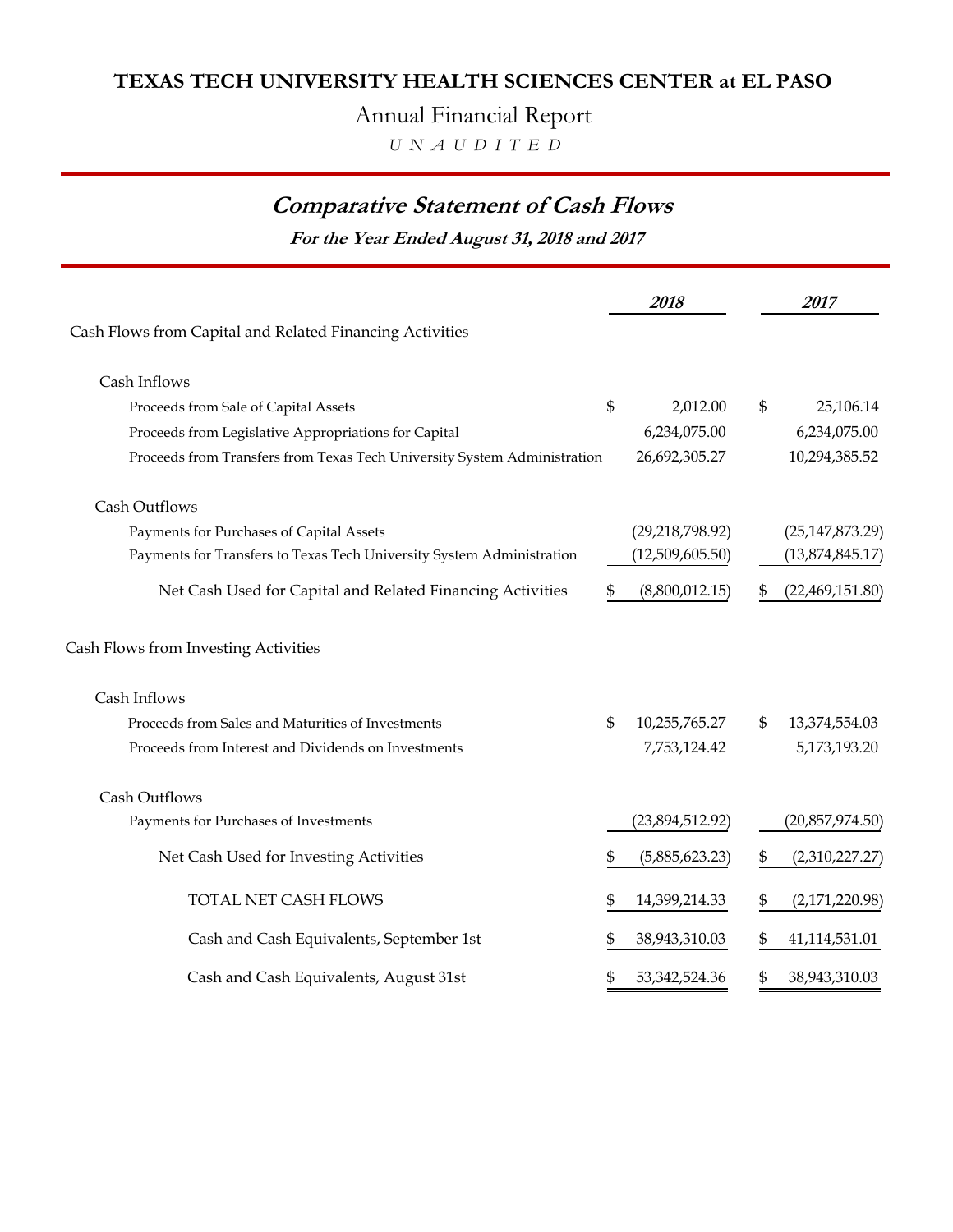Annual Financial Report

 *U N A U D I T E D*

## **Comparative Statement of Cash Flows**

**For the Year Ended August 31, 2018 and 2017**

|                                                                          |    | 2018              | 2017                  |
|--------------------------------------------------------------------------|----|-------------------|-----------------------|
| Cash Flows from Capital and Related Financing Activities                 |    |                   |                       |
| Cash Inflows                                                             |    |                   |                       |
| Proceeds from Sale of Capital Assets                                     | \$ | 2,012.00          | \$<br>25,106.14       |
| Proceeds from Legislative Appropriations for Capital                     |    | 6,234,075.00      | 6,234,075.00          |
| Proceeds from Transfers from Texas Tech University System Administration |    | 26,692,305.27     | 10,294,385.52         |
| Cash Outflows                                                            |    |                   |                       |
| Payments for Purchases of Capital Assets                                 |    | (29, 218, 798.92) | (25, 147, 873.29)     |
| Payments for Transfers to Texas Tech University System Administration    |    | (12,509,605.50)   | (13,874,845.17)       |
| Net Cash Used for Capital and Related Financing Activities               | \$ | (8,800,012.15)    | \$<br>(22,469,151.80) |
| Cash Flows from Investing Activities                                     |    |                   |                       |
| Cash Inflows                                                             |    |                   |                       |
| Proceeds from Sales and Maturities of Investments                        | \$ | 10,255,765.27     | \$<br>13,374,554.03   |
| Proceeds from Interest and Dividends on Investments                      |    | 7,753,124.42      | 5,173,193.20          |
| Cash Outflows                                                            |    |                   |                       |
| Payments for Purchases of Investments                                    |    | (23,894,512.92)   | (20,857,974.50)       |
| Net Cash Used for Investing Activities                                   | S  | (5,885,623.23)    | \$<br>(2,310,227.27)  |
| TOTAL NET CASH FLOWS                                                     |    | 14,399,214.33     | \$<br>(2,171,220.98)  |
| Cash and Cash Equivalents, September 1st                                 |    | 38,943,310.03     | \$<br>41,114,531.01   |
| Cash and Cash Equivalents, August 31st                                   | \$ | 53, 342, 524. 36  | \$<br>38,943,310.03   |